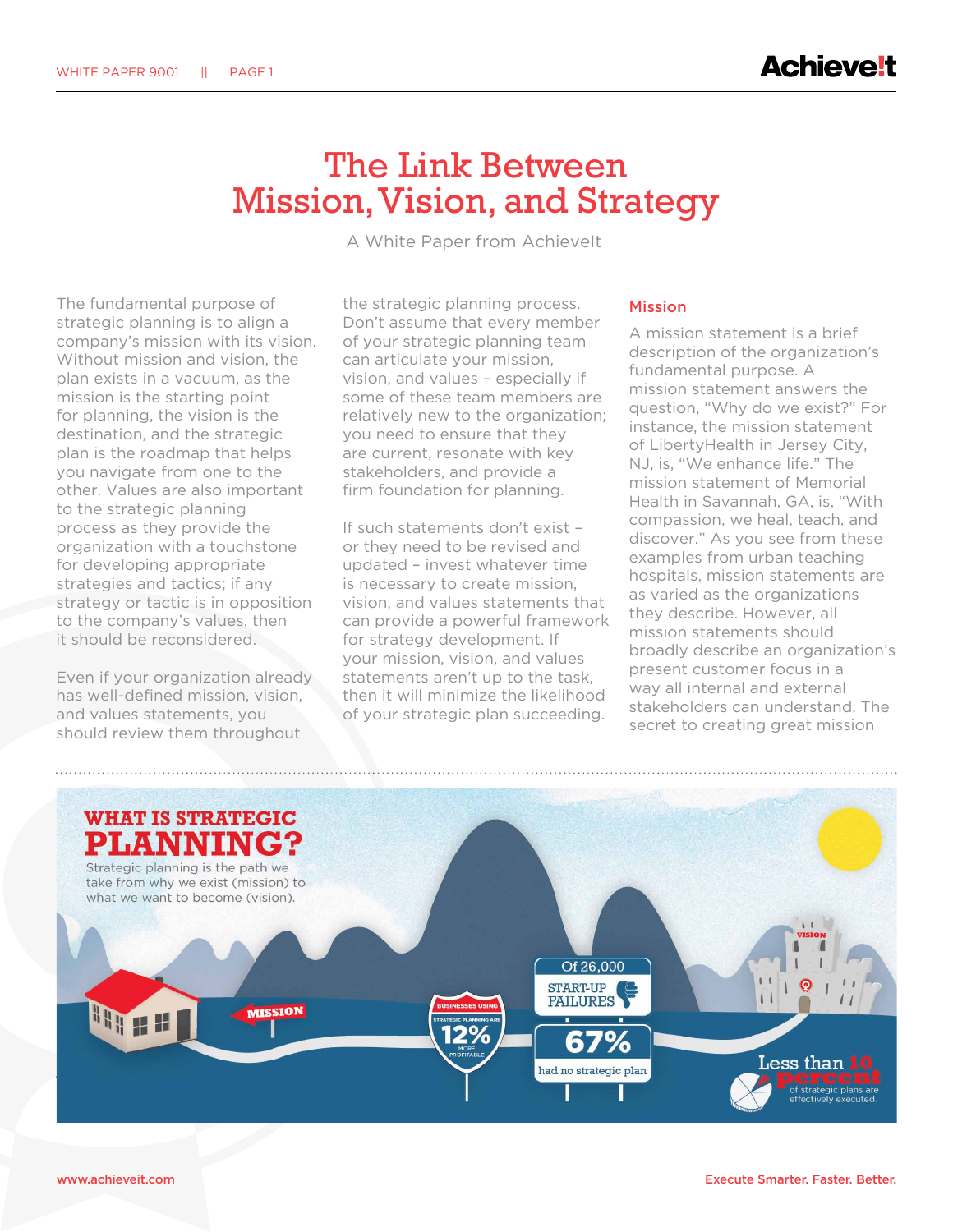## The Link Between Mission, Vision, and Strategy

A White Paper from AchieveIt

The fundamental purpose of strategic planning is to align a company's mission with its vision. Without mission and vision, the plan exists in a vacuum, as the mission is the starting point for planning, the vision is the destination, and the strategic plan is the roadmap that helps you navigate from one to the other. Values are also important to the strategic planning process as they provide the organization with a touchstone for developing appropriate strategies and tactics; if any strategy or tactic is in opposition to the company's values, then it should be reconsidered.

Even if your organization already has well-defined mission, vision, and values statements, you should review them throughout

the strategic planning process. Don't assume that every member of your strategic planning team can articulate your mission, vision, and values – especially if some of these team members are relatively new to the organization; you need to ensure that they are current, resonate with key stakeholders, and provide a firm foundation for planning.

If such statements don't exist – or they need to be revised and updated – invest whatever time is necessary to create mission, vision, and values statements that can provide a powerful framework for strategy development. If your mission, vision, and values statements aren't up to the task, then it will minimize the likelihood of your strategic plan succeeding.

## Mission

A mission statement is a brief description of the organization's fundamental purpose. A mission statement answers the question, "Why do we exist?" For instance, the mission statement of LibertyHealth in Jersey City, NJ, is, "We enhance life." The mission statement of Memorial Health in Savannah, GA, is, "With compassion, we heal, teach, and discover." As you see from these examples from urban teaching hospitals, mission statements are as varied as the organizations they describe. However, all mission statements should broadly describe an organization's present customer focus in a way all internal and external stakeholders can understand. The secret to creating great mission